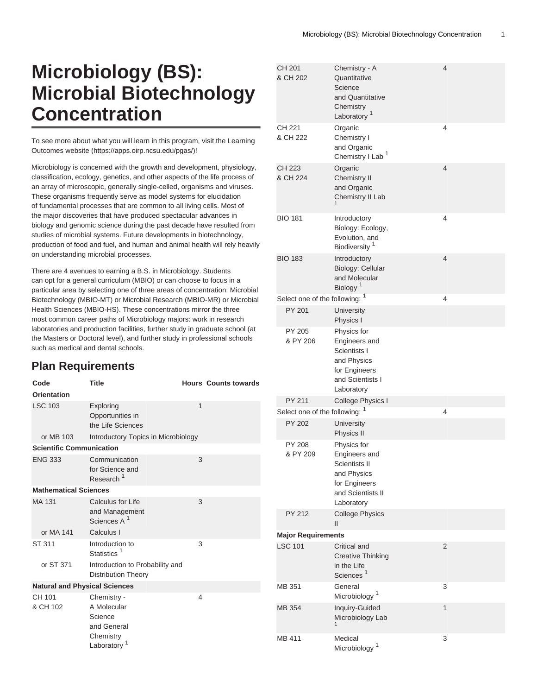# **Microbiology (BS): Microbial Biotechnology Concentration**

To see more about what you will learn in this program, visit the [Learning](https://apps.oirp.ncsu.edu/pgas/) [Outcomes website](https://apps.oirp.ncsu.edu/pgas/) (<https://apps.oirp.ncsu.edu/pgas/>)!

Microbiology is concerned with the growth and development, physiology, classification, ecology, genetics, and other aspects of the life process of an array of microscopic, generally single-celled, organisms and viruses. These organisms frequently serve as model systems for elucidation of fundamental processes that are common to all living cells. Most of the major discoveries that have produced spectacular advances in biology and genomic science during the past decade have resulted from studies of microbial systems. Future developments in biotechnology, production of food and fuel, and human and animal health will rely heavily on understanding microbial processes.

There are 4 avenues to earning a B.S. in Microbiology. Students can opt for a general curriculum (MBIO) or can choose to focus in a particular area by selecting one of three areas of concentration: Microbial Biotechnology (MBIO-MT) or Microbial Research (MBIO-MR) or Microbial Health Sciences (MBIO-HS). These concentrations mirror the three most common career paths of Microbiology majors: work in research laboratories and production facilities, further study in graduate school (at the Masters or Doctoral level), and further study in professional schools such as medical and dental schools.

## **Plan Requirements**

| Code                                 | <b>Title</b>                                                                    |   | <b>Hours Counts towards</b> |
|--------------------------------------|---------------------------------------------------------------------------------|---|-----------------------------|
| <b>Orientation</b>                   |                                                                                 |   |                             |
| <b>LSC 103</b>                       | Exploring<br>Opportunities in<br>the Life Sciences                              | 1 |                             |
| or MB 103                            | Introductory Topics in Microbiology                                             |   |                             |
| <b>Scientific Communication</b>      |                                                                                 |   |                             |
| <b>ENG 333</b>                       | Communication<br>for Science and<br>Research <sup>1</sup>                       | 3 |                             |
| <b>Mathematical Sciences</b>         |                                                                                 |   |                             |
| MA 131                               | Calculus for Life<br>and Management<br>Sciences A <sup>1</sup>                  | 3 |                             |
| or MA 141                            | Calculus I                                                                      |   |                             |
| ST 311                               | Introduction to<br>Statistics <sup>1</sup>                                      | 3 |                             |
| or ST 371                            | Introduction to Probability and<br><b>Distribution Theory</b>                   |   |                             |
| <b>Natural and Physical Sciences</b> |                                                                                 |   |                             |
| CH 101<br>& CH 102                   | Chemistry -<br>A Molecular<br>Science<br>and General<br>Chemistry<br>Laboratory | 4 |                             |

| CH 201<br>& CH 202             | Chemistry - A<br>Quantitative<br>Science<br>and Quantitative<br>Chemistry<br>Laboratory <sup>1</sup>             | 4              |  |  |
|--------------------------------|------------------------------------------------------------------------------------------------------------------|----------------|--|--|
| CH 221<br>& CH 222             | Organic<br>Chemistry I<br>and Organic<br>Chemistry I Lab <sup>1</sup>                                            | 4              |  |  |
| <b>CH 223</b><br>& CH 224      | Organic<br><b>Chemistry II</b><br>and Organic<br>Chemistry II Lab<br>1                                           | $\overline{4}$ |  |  |
| <b>BIO 181</b>                 | Introductory<br>Biology: Ecology,<br>Evolution, and<br>Biodiversity <sup>1</sup>                                 | 4              |  |  |
| <b>BIO 183</b>                 | Introductory<br>Biology: Cellular<br>and Molecular<br>Biology <sup>1</sup>                                       | $\overline{4}$ |  |  |
| Select one of the following: 1 |                                                                                                                  | 4              |  |  |
| PY 201                         | <b>University</b><br>Physics I                                                                                   |                |  |  |
| PY 205<br>& PY 206             | Physics for<br>Engineers and<br>Scientists I<br>and Physics<br>for Engineers<br>and Scientists I<br>Laboratory   |                |  |  |
| PY 211                         | College Physics I                                                                                                |                |  |  |
| Select one of the following: 1 |                                                                                                                  | $\overline{4}$ |  |  |
| <b>PY 202</b>                  | University<br>Physics II                                                                                         |                |  |  |
| PY 208<br>& PY 209             | Physics for<br>Engineers and<br>Scientists II<br>and Physics<br>for Engineers<br>and Scientists II<br>Laboratory |                |  |  |
| PY 212                         | <b>College Physics</b><br>Ш                                                                                      |                |  |  |
| <b>Major Requirements</b>      |                                                                                                                  |                |  |  |
| <b>LSC 101</b>                 | Critical and<br><b>Creative Thinking</b><br>in the Life<br>Sciences <sup>1</sup>                                 | 2              |  |  |
| MB 351                         | General<br>Microbiology <sup>1</sup>                                                                             | 3              |  |  |
| MB 354                         | Inquiry-Guided<br>Microbiology Lab<br>1                                                                          | 1              |  |  |
| MB 411                         | Medical<br>Microbiology <sup>1</sup>                                                                             | 3              |  |  |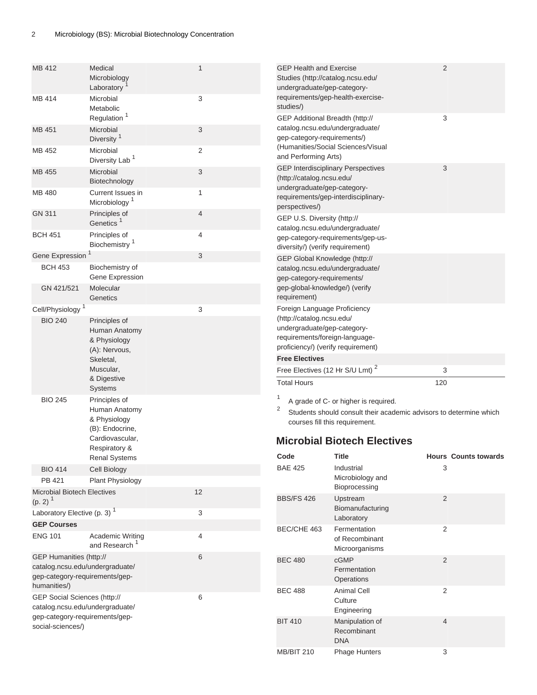| MB 412                                                                                                       | Medical<br>Microbiology<br>Laboratory                                                | 1              | <b>GEP Health and Exercise</b><br>Studies (http://catalog.ncsu.edu/<br>undergraduate/gep-category-                                                        |                                                                                                                                                                                    | 2                           |  |
|--------------------------------------------------------------------------------------------------------------|--------------------------------------------------------------------------------------|----------------|-----------------------------------------------------------------------------------------------------------------------------------------------------------|------------------------------------------------------------------------------------------------------------------------------------------------------------------------------------|-----------------------------|--|
| <b>MB 414</b>                                                                                                | Microbial<br>Metabolic<br>Regulation <sup>1</sup>                                    | 3              | studies/)<br>GEP Additional Breadth (http://                                                                                                              | requirements/gep-health-exercise-                                                                                                                                                  | 3                           |  |
| MB 451                                                                                                       | Microbial<br>Diversity <sup>1</sup>                                                  | 3              | catalog.ncsu.edu/undergraduate/<br>gep-category-requirements/)                                                                                            |                                                                                                                                                                                    |                             |  |
| MB 452                                                                                                       | Microbial<br>Diversity Lab <sup>1</sup>                                              | $\overline{2}$ | and Performing Arts)                                                                                                                                      | (Humanities/Social Sciences/Visual                                                                                                                                                 |                             |  |
| MB 455                                                                                                       | Microbial<br>Biotechnology                                                           | 3              | (http://catalog.ncsu.edu/                                                                                                                                 | <b>GEP Interdisciplinary Perspectives</b>                                                                                                                                          | 3                           |  |
| MB 480                                                                                                       | Current Issues in<br>Microbiology <sup>1</sup>                                       | 1              | undergraduate/gep-category-<br>perspectives/)                                                                                                             | requirements/gep-interdisciplinary-                                                                                                                                                |                             |  |
| GN 311                                                                                                       | Principles of<br>Genetics <sup>1</sup>                                               | $\overline{4}$ | GEP U.S. Diversity (http://<br>catalog.ncsu.edu/undergraduate/                                                                                            |                                                                                                                                                                                    |                             |  |
| <b>BCH 451</b>                                                                                               | Principles of<br>Biochemistry <sup>1</sup>                                           | 4              | diversity/) (verify requirement)                                                                                                                          | gep-category-requirements/gep-us-                                                                                                                                                  |                             |  |
| Gene Expression                                                                                              |                                                                                      | 3              | GEP Global Knowledge (http://                                                                                                                             |                                                                                                                                                                                    |                             |  |
| <b>BCH 453</b>                                                                                               | Biochemistry of<br>Gene Expression                                                   |                | catalog.ncsu.edu/undergraduate/<br>gep-category-requirements/                                                                                             |                                                                                                                                                                                    |                             |  |
| GN 421/521                                                                                                   | Molecular<br>Genetics                                                                |                | gep-global-knowledge/) (verify<br>requirement)                                                                                                            |                                                                                                                                                                                    |                             |  |
| Cell/Physiology <sup>1</sup>                                                                                 |                                                                                      | 3              | Foreign Language Proficiency                                                                                                                              |                                                                                                                                                                                    |                             |  |
| <b>BIO 240</b>                                                                                               | Principles of<br>Human Anatomy<br>& Physiology<br>(A): Nervous,<br>Skeletal,         |                | (http://catalog.ncsu.edu/<br>undergraduate/gep-category-<br>requirements/foreign-language-<br>proficiency/) (verify requirement)<br><b>Free Electives</b> |                                                                                                                                                                                    |                             |  |
|                                                                                                              | Muscular,                                                                            |                | Free Electives (12 Hr S/U Lmt) <sup>2</sup>                                                                                                               |                                                                                                                                                                                    | 3                           |  |
|                                                                                                              | & Digestive<br>Systems                                                               |                | <b>Total Hours</b>                                                                                                                                        |                                                                                                                                                                                    | 120                         |  |
| <b>BIO 245</b>                                                                                               | Principles of<br>Human Anatomy<br>& Physiology<br>(B): Endocrine,<br>Cardiovascular, |                | $\overline{c}$                                                                                                                                            | A grade of C- or higher is required.<br>Students should consult their academic advisors to determine which<br>courses fill this requirement.<br><b>Microbial Biotech Electives</b> |                             |  |
|                                                                                                              | Respiratory &<br><b>Renal Systems</b>                                                |                | Code                                                                                                                                                      | <b>Title</b>                                                                                                                                                                       | <b>Hours Counts towards</b> |  |
| <b>BIO 414</b>                                                                                               | Cell Biology                                                                         |                | <b>BAE 425</b>                                                                                                                                            | Industrial                                                                                                                                                                         | 3                           |  |
|                                                                                                              |                                                                                      |                |                                                                                                                                                           | Microbiology and                                                                                                                                                                   |                             |  |
| PB 421                                                                                                       | Plant Physiology                                                                     |                |                                                                                                                                                           | Bioprocessing                                                                                                                                                                      |                             |  |
| <b>Microbial Biotech Electives</b><br>$(p. 2)^{1}$                                                           |                                                                                      | 12             | <b>BBS/FS 426</b>                                                                                                                                         | Upstream<br>Biomanufacturing                                                                                                                                                       | 2                           |  |
| Laboratory Elective (p. 3) <sup>1</sup>                                                                      |                                                                                      | 3              |                                                                                                                                                           | Laboratory                                                                                                                                                                         |                             |  |
| <b>GEP Courses</b>                                                                                           |                                                                                      |                | BEC/CHE 463                                                                                                                                               | Fermentation                                                                                                                                                                       | 2                           |  |
| <b>ENG 101</b>                                                                                               | Academic Writing<br>and Research <sup>1</sup>                                        | 4              |                                                                                                                                                           | of Recombinant<br>Microorganisms                                                                                                                                                   |                             |  |
| GEP Humanities (http://<br>catalog.ncsu.edu/undergraduate/<br>gep-category-requirements/gep-<br>humanities/) |                                                                                      | 6              | <b>BEC 480</b>                                                                                                                                            | cGMP<br>Fermentation<br>Operations                                                                                                                                                 | 2                           |  |
| GEP Social Sciences (http://<br>catalog.ncsu.edu/undergraduate/                                              |                                                                                      | 6              | <b>BEC 488</b>                                                                                                                                            | <b>Animal Cell</b><br>Culture<br>Engineering                                                                                                                                       | 2                           |  |
| gep-category-requirements/gep-<br>social-sciences/)                                                          |                                                                                      |                | <b>BIT 410</b>                                                                                                                                            | Manipulation of<br>Recombinant<br><b>DNA</b>                                                                                                                                       | 4                           |  |

<span id="page-1-0"></span>MB/BIT 210 Phage Hunters 3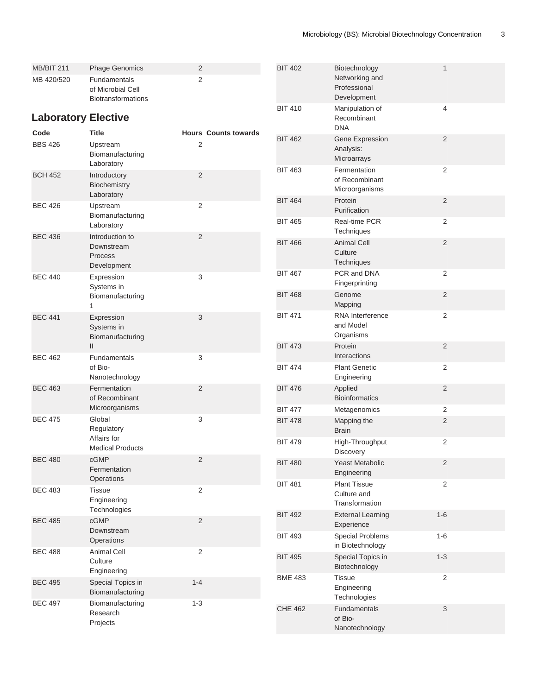<span id="page-2-0"></span>

| <b>MB/BIT 211</b><br>MB 420/520 | <b>Phage Genomics</b><br><b>Fundamentals</b><br>of Microbial Cell<br><b>Biotransformations</b> | 2<br>2         |                             | <b>BIT 402</b> | Biotechnology<br>Networking and<br>Professional<br>Development | 1              |
|---------------------------------|------------------------------------------------------------------------------------------------|----------------|-----------------------------|----------------|----------------------------------------------------------------|----------------|
| <b>Laboratory Elective</b>      |                                                                                                |                |                             | <b>BIT 410</b> | Manipulation of<br>Recombinant<br><b>DNA</b>                   | 4              |
| Code<br><b>BBS 426</b>          | <b>Title</b><br>Upstream<br>Biomanufacturing<br>Laboratory                                     | 2              | <b>Hours Counts towards</b> | <b>BIT 462</b> | Gene Expression<br>Analysis:<br>Microarrays                    | 2              |
| <b>BCH 452</b>                  | Introductory<br>Biochemistry<br>Laboratory                                                     | $\overline{2}$ |                             | <b>BIT 463</b> | Fermentation<br>of Recombinant<br>Microorganisms               | 2              |
| <b>BEC 426</b>                  | Upstream<br>Biomanufacturing                                                                   | 2              |                             | <b>BIT 464</b> | Protein<br>Purification                                        | 2              |
| <b>BEC 436</b>                  | Laboratory<br>Introduction to                                                                  | 2              |                             | <b>BIT 465</b> | Real-time PCR<br>Techniques                                    | 2              |
|                                 | Downstream<br>Process<br>Development                                                           |                |                             | <b>BIT 466</b> | <b>Animal Cell</b><br>Culture<br>Techniques                    | 2              |
| <b>BEC 440</b>                  | Expression<br>Systems in                                                                       | 3              |                             | <b>BIT 467</b> | PCR and DNA<br>Fingerprinting                                  | 2              |
|                                 | Biomanufacturing<br>1                                                                          |                |                             | <b>BIT 468</b> | Genome<br>Mapping                                              | $\overline{2}$ |
| <b>BEC 441</b>                  | Expression<br>Systems in<br>Biomanufacturing                                                   | 3              |                             | <b>BIT 471</b> | RNA Interference<br>and Model<br>Organisms                     | 2              |
| <b>BEC 462</b>                  | $\mathbf{II}$<br>Fundamentals                                                                  | 3              |                             | <b>BIT 473</b> | Protein<br>Interactions                                        | 2              |
|                                 | of Bio-<br>Nanotechnology                                                                      |                |                             | <b>BIT 474</b> | <b>Plant Genetic</b><br>Engineering                            | $\overline{2}$ |
| <b>BEC 463</b>                  | Fermentation<br>of Recombinant                                                                 | $\overline{2}$ |                             | <b>BIT 476</b> | Applied<br><b>Bioinformatics</b>                               | $\overline{2}$ |
|                                 | Microorganisms                                                                                 |                |                             | <b>BIT 477</b> | Metagenomics                                                   | 2              |
| <b>BEC 475</b>                  | Global<br>Regulatory<br>Affairs for                                                            | 3              |                             | <b>BIT 478</b> | Mapping the<br><b>Brain</b>                                    | 2              |
|                                 | <b>Medical Products</b>                                                                        |                |                             | <b>BIT 479</b> | High-Throughput<br>Discovery                                   | 2              |
| <b>BEC 480</b>                  | cGMP<br>Fermentation<br>Operations                                                             | 2              |                             | <b>BIT 480</b> | <b>Yeast Metabolic</b><br>Engineering                          | $\overline{2}$ |
| <b>BEC 483</b>                  | <b>Tissue</b><br>Engineering<br>Technologies                                                   | 2              |                             | <b>BIT 481</b> | <b>Plant Tissue</b><br>Culture and<br>Transformation           | $\overline{2}$ |
| <b>BEC 485</b>                  | cGMP<br>Downstream                                                                             | 2              |                             | <b>BIT 492</b> | <b>External Learning</b><br>Experience                         | $1 - 6$        |
|                                 | Operations                                                                                     |                |                             | <b>BIT 493</b> | <b>Special Problems</b><br>in Biotechnology                    | $1-6$          |
| <b>BEC 488</b>                  | Animal Cell<br>Culture<br>Engineering                                                          | 2              |                             | <b>BIT 495</b> | Special Topics in<br>Biotechnology                             | $1 - 3$        |
| <b>BEC 495</b>                  | Special Topics in<br>Biomanufacturing                                                          | $1 - 4$        |                             | <b>BME 483</b> | <b>Tissue</b><br>Engineering<br>Technologies                   | $\overline{2}$ |
| <b>BEC 497</b>                  | Biomanufacturing<br>Research<br>Projects                                                       | $1 - 3$        |                             | <b>CHE 462</b> | Fundamentals<br>of Bio-<br>Nanotechnology                      | 3              |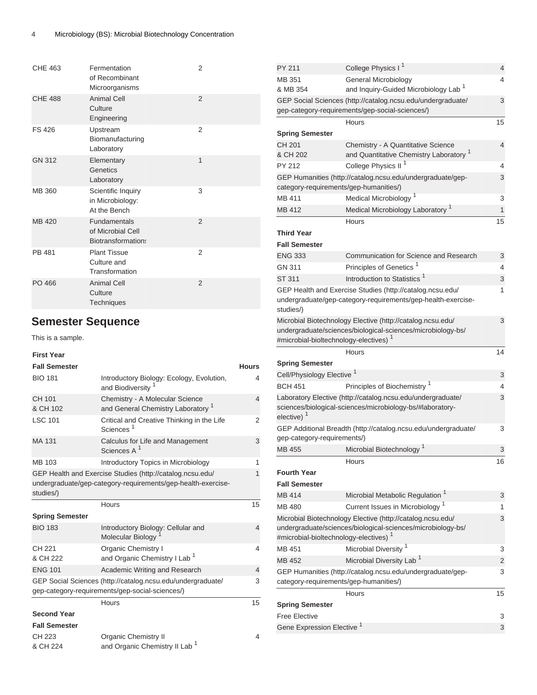| <b>CHE 463</b> | Fermentation<br>of Recombinant<br>Microorganisms                      | 2              |
|----------------|-----------------------------------------------------------------------|----------------|
| <b>CHE 488</b> | <b>Animal Cell</b><br>Culture<br>Engineering                          | $\overline{2}$ |
| FS 426         | Upstream<br>Biomanufacturing<br>Laboratory                            | 2              |
| <b>GN 312</b>  | Elementary<br>Genetics<br>Laboratory                                  | $\mathbf{1}$   |
| MB 360         | Scientific Inquiry<br>in Microbiology:<br>At the Bench                | 3              |
| MB 420         | <b>Fundamentals</b><br>of Microbial Cell<br><b>Biotransformations</b> | $\overline{2}$ |
| PB 481         | <b>Plant Tissue</b><br>Culture and<br>Transformation                  | 2              |
| PO 466         | <b>Animal Cell</b><br>Culture<br>Techniques                           | $\overline{2}$ |

## **Semester Sequence**

This is a sample.

### **First Year**

| <b>Fall Semester</b>   |                                                                                                                           | <b>Hours</b> |
|------------------------|---------------------------------------------------------------------------------------------------------------------------|--------------|
| <b>BIO 181</b>         | Introductory Biology: Ecology, Evolution,<br>and Biodiversity                                                             | 4            |
| CH 101<br>& CH 102     | Chemistry - A Molecular Science<br>and General Chemistry Laboratory <sup>1</sup>                                          | 4            |
| <b>LSC 101</b>         | Critical and Creative Thinking in the Life<br>Sciences <sup>1</sup>                                                       | 2            |
| MA 131                 | Calculus for Life and Management<br>Sciences A <sup>1</sup>                                                               | 3            |
| MB 103                 | Introductory Topics in Microbiology                                                                                       | 1            |
| studies/)              | GEP Health and Exercise Studies (http://catalog.ncsu.edu/<br>undergraduate/gep-category-requirements/gep-health-exercise- | 1            |
|                        | Hours                                                                                                                     | 15           |
| <b>Spring Semester</b> |                                                                                                                           |              |
| <b>BIO 183</b>         | Introductory Biology: Cellular and<br>Molecular Biology                                                                   | 4            |
| CH 221<br>& CH 222     | <b>Organic Chemistry I</b><br>and Organic Chemistry I Lab <sup>1</sup>                                                    | 4            |
| <b>ENG 101</b>         | Academic Writing and Research                                                                                             | 4            |
|                        | GEP Social Sciences (http://catalog.ncsu.edu/undergraduate/<br>gep-category-requirements/gep-social-sciences/)            | 3            |
|                        | Hours                                                                                                                     | 15           |
| <b>Second Year</b>     |                                                                                                                           |              |
| <b>Fall Semester</b>   |                                                                                                                           |              |
| CH 223<br>& CH 224     | <b>Organic Chemistry II</b><br>and Organic Chemistry II Lab <sup>1</sup>                                                  | 4            |

| PY 211                                            | College Physics I <sup>1</sup>                                                                                            | 4      |
|---------------------------------------------------|---------------------------------------------------------------------------------------------------------------------------|--------|
| MB 351                                            | General Microbiology                                                                                                      | 4      |
| & MB 354                                          | and Inquiry-Guided Microbiology Lab <sup>1</sup>                                                                          |        |
|                                                   | GEP Social Sciences (http://catalog.ncsu.edu/undergraduate/                                                               | 3      |
|                                                   | gep-category-requirements/gep-social-sciences/)                                                                           |        |
|                                                   | Hours                                                                                                                     | 15     |
| <b>Spring Semester</b>                            |                                                                                                                           |        |
| CH 201                                            | Chemistry - A Quantitative Science                                                                                        | 4      |
| & CH 202                                          | and Quantitative Chemistry Laboratory <sup>1</sup>                                                                        |        |
| PY 212                                            | College Physics II <sup>1</sup>                                                                                           | 4      |
| category-requirements/gep-humanities/)            | GEP Humanities (http://catalog.ncsu.edu/undergraduate/gep-                                                                | 3      |
| MB 411                                            | Medical Microbiology <sup>1</sup>                                                                                         | 3      |
| MB 412                                            | Medical Microbiology Laboratory <sup>1</sup>                                                                              | 1      |
|                                                   | Hours                                                                                                                     | 15     |
| <b>Third Year</b>                                 |                                                                                                                           |        |
| <b>Fall Semester</b>                              |                                                                                                                           |        |
| <b>ENG 333</b>                                    | Communication for Science and Research                                                                                    | 3      |
| GN 311                                            | Principles of Genetics <sup>1</sup>                                                                                       | 4      |
| ST 311                                            | Introduction to Statistics <sup>1</sup>                                                                                   | 3      |
|                                                   | GEP Health and Exercise Studies (http://catalog.ncsu.edu/                                                                 | 1      |
| studies/)                                         | undergraduate/gep-category-requirements/gep-health-exercise-                                                              |        |
| #microbial-bioltechnology-electives) <sup>1</sup> | Microbial Biotechnology Elective (http://catalog.ncsu.edu/<br>undergraduate/sciences/biological-sciences/microbiology-bs/ | 3      |
|                                                   | Hours                                                                                                                     | 14     |
| <b>Spring Semester</b>                            |                                                                                                                           |        |
| Cell/Physiology Elective <sup>1</sup>             |                                                                                                                           | 3      |
| <b>BCH 451</b>                                    | Principles of Biochemistry <sup>1</sup>                                                                                   | 4      |
| elective) <sup>1</sup>                            | Laboratory Elective (http://catalog.ncsu.edu/undergraduate/<br>sciences/biological-sciences/microbiology-bs/#laboratory-  | 3      |
|                                                   | GEP Additional Breadth (http://catalog.ncsu.edu/undergraduate/                                                            | 3      |
| gep-category-requirements/)                       |                                                                                                                           |        |
| <b>MB 455</b>                                     | Microbial Biotechnology <sup>1</sup>                                                                                      | 3      |
|                                                   | Hours                                                                                                                     | 16     |
| <b>Fourth Year</b>                                |                                                                                                                           |        |
| <b>Fall Semester</b>                              |                                                                                                                           |        |
| MB 414                                            | Microbial Metabolic Regulation <sup>1</sup>                                                                               | 3      |
| MB 480                                            | Current Issues in Microbiology <sup>1</sup>                                                                               | 1      |
|                                                   | Microbial Biotechnology Elective (http://catalog.ncsu.edu/                                                                | 3      |
| #microbial-bioltechnology-electives) <sup>1</sup> | undergraduate/sciences/biological-sciences/microbiology-bs/                                                               |        |
| MB 451                                            | Microbial Diversity <sup>1</sup>                                                                                          | 3      |
| MB 452                                            | Microbial Diversity Lab <sup>1</sup>                                                                                      |        |
|                                                   | GEP Humanities (http://catalog.ncsu.edu/undergraduate/gep-                                                                | 2<br>3 |
| category-requirements/gep-humanities/)            |                                                                                                                           |        |
|                                                   | Hours                                                                                                                     | 15     |
| <b>Spring Semester</b>                            |                                                                                                                           |        |
| <b>Free Elective</b>                              |                                                                                                                           | 3      |
| Gene Expression Elective <sup>1</sup>             |                                                                                                                           | 3      |